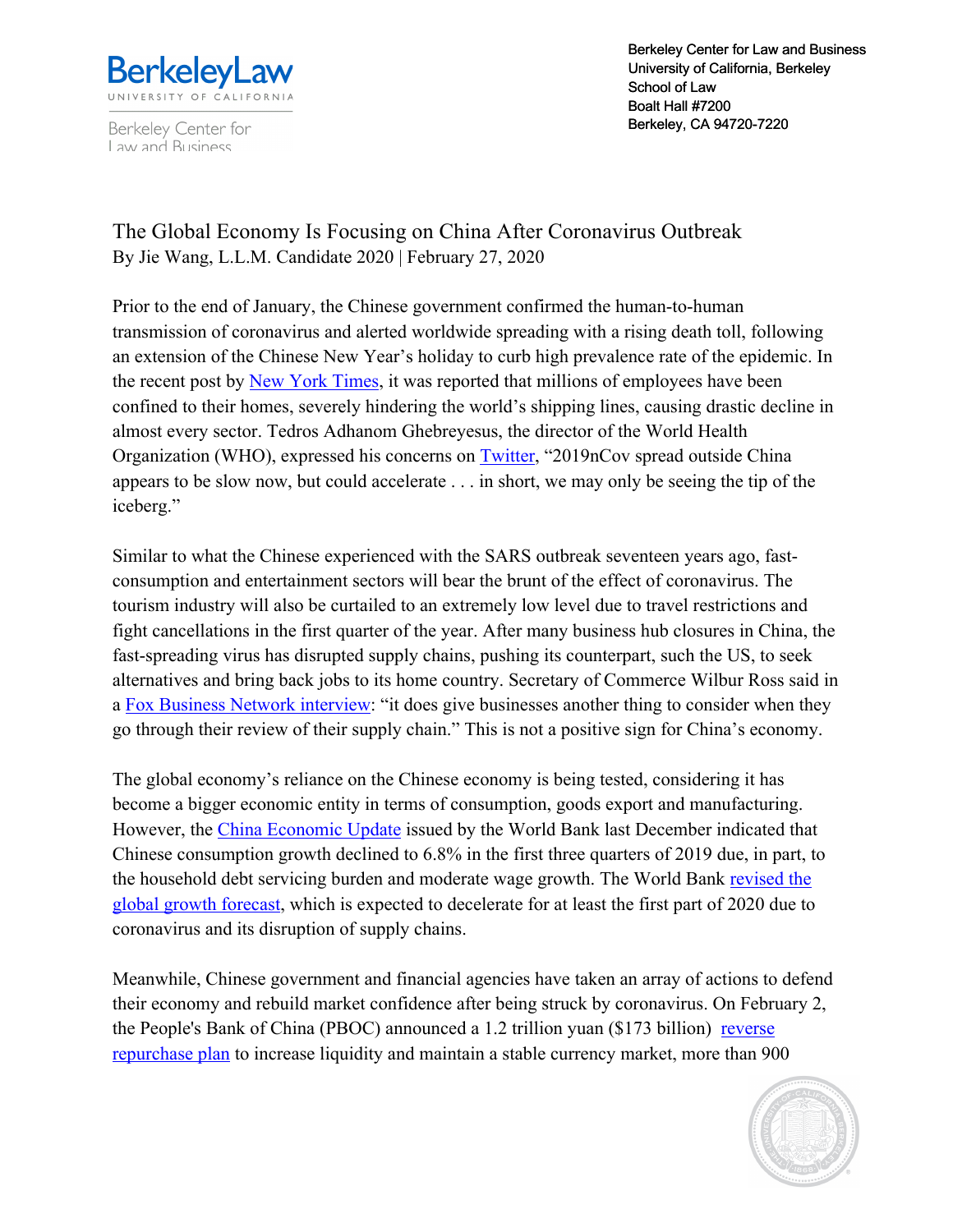

Berkeley Center for Law and Business

Berkeley Center for Law and Business University of California, Berkeley School of Law School Boalt Hall #7200 Berkeley, CA 94720-7220

The Global Economy Is Focusing on China After Coronavirus Outbreak By Jie Wang, L.L.M. Candidate 2020 | February 27, 2020

Prior to the end of January, the Chinese government confirmed the human-to-human transmission of coronavirus and alerted worldwide spreading with a rising death toll, following an extension of the Chinese New Year's holiday to curb high prevalence rate of the epidemic. In the recent post by New York Times, it was reported that millions of employees have been confined to their homes, severely hindering the world's shipping lines, causing drastic decline in almost every sector. Tedros Adhanom Ghebreyesus, the director of the World Health Organization (WHO), expressed his concerns on Twitter, "2019nCov spread outside China appears to be slow now, but could accelerate . . . in short, we may only be seeing the tip of the iceberg."

Similar to what the Chinese experienced with the SARS outbreak seventeen years ago, fastconsumption and entertainment sectors will bear the brunt of the effect of coronavirus. The tourism industry will also be curtailed to an extremely low level due to travel restrictions and fight cancellations in the first quarter of the year. After many business hub closures in China, the fast-spreading virus has disrupted supply chains, pushing its counterpart, such the US, to seek alternatives and bring back jobs to its home country. Secretary of Commerce Wilbur Ross said in a Fox Business Network interview: "it does give businesses another thing to consider when they go through their review of their supply chain." This is not a positive sign for China's economy.

The global economy's reliance on the Chinese economy is being tested, considering it has become a bigger economic entity in terms of consumption, goods export and manufacturing. However, the China Economic Update issued by the World Bank last December indicated that Chinese consumption growth declined to 6.8% in the first three quarters of 2019 due, in part, to the household debt servicing burden and moderate wage growth. The World Bank revised the global growth forecast, which is expected to decelerate for at least the first part of 2020 due to coronavirus and its disruption of supply chains.

Meanwhile, Chinese government and financial agencies have taken an array of actions to defend their economy and rebuild market confidence after being struck by coronavirus. On February 2, the People's Bank of China (PBOC) announced a 1.2 trillion yuan (\$173 billion) reverse repurchase plan to increase liquidity and maintain a stable currency market, more than 900